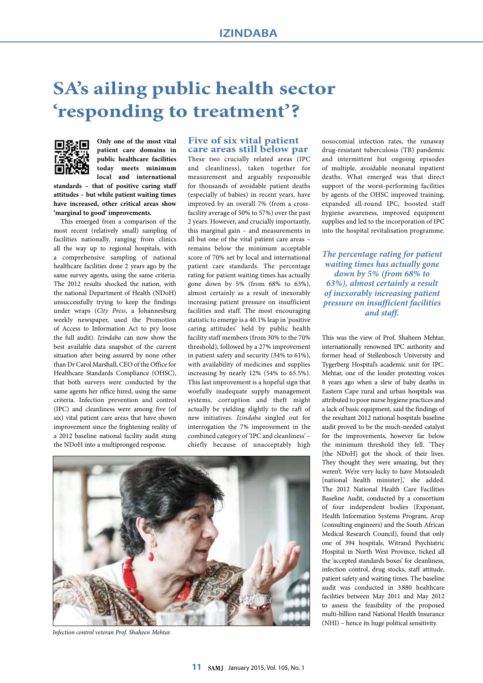# **SA's ailing public health sector 'responding to treatment'?**



**Only one of the most vital patient care domains in public healthcare facilities today meets minimum local and international** 

**standards – that of positive caring staff attitudes – but while patient waiting times have increased, other critical areas show 'marginal to good' improvements.**

This emerged from a comparison of the most recent (relatively small) sampling of facilities nationally, ranging from clinics all the way up to regional hospitals, with a comprehensive sampling of national healthcare facilities done 2 years ago by the same survey agents, using the same criteria. The 2012 results shocked the nation, with the national Department of Health (NDoH) unsuccessfully trying to keep the findings under wraps (*City Press*, a Johannesburg weekly newspaper, used the Promotion of Access to Information Act to pry loose the full audit). *Izindaba* can now show the best available data snapshot of the current situation after being assured by none other than Dr Carol Marshall, CEO of the Office for Healthcare Standards Compliance (OHSC), that both surveys were conducted by the same agents her office hired, using the same criteria. Infection prevention and control (IPC) and cleanliness were among five (of six) vital patient care areas that have shown improvement since the frightening reality of a 2012 baseline national facility audit stung the NDoH into a multipronged response.

#### **Five of six vital patient care areas still below par**

These two crucially related areas (IPC and cleanliness), taken together for measurement and arguably responsible for thousands of avoidable patient deaths (especially of babies) in recent years, have improved by an overall 7% (from a crossfacility average of 50% to 57%) over the past 2 years. However, and crucially importantly, this marginal gain – and measurements in all but one of the vital patient care areas – remains below the minimum acceptable score of 70% set by local and international patient care standards. The percentage rating for patient waiting times has actually gone down by 5% (from 68% to 63%), almost certainly as a result of inexorably increasing patient pressure on insufficient facilities and staff. The most encouraging statistic to emerge is a 40.1% leap in 'positive caring attitudes' held by public health facility staff members (from 30% to the 70% threshold), followed by a 27% improvement in patient safety and security (34% to 61%), with availability of medicines and supplies increasing by nearly 12% (54% to 65.5%). This last improvement is a hopeful sign that woefully inadequate supply management systems, corruption and theft might actually be yielding slightly to the raft of new initiatives. *Izindaba* singled out for interrogation the 7% improvement in the combined category of 'IPC and cleanliness' – chiefly because of unacceptably high



*Infection control veteran Prof. Shaheen Mehtar.*

nosocomial infection rates, the runaway drug-resistant tuberculosis (TB) pandemic and intermittent but ongoing episodes of multiple, avoidable neonatal inpatient deaths. What emerged was that direct support of the worst-performing facilities by agents of the OHSC improved training, expanded all-round IPC, boosted staff hygiene awareness, improved equipment supplies and led to the incorporation of IPC into the hospital revitalisation programme.

*The percentage rating for patient waiting times has actually gone down by 5% (from 68% to 63%), almost certainly a result of inexorably increasing patient pressure on insufficient facilities and staff.*

This was the view of Prof. Shaheen Mehtar, internationally renowned IPC authority and former head of Stellenbosch University and Tygerberg Hospital's academic unit for IPC. Mehtar, one of the louder protesting voices 8 years ago when a slew of baby deaths in Eastern Cape rural and urban hospitals was attributed to poor nurse hygiene practices and a lack of basic equipment, said the findings of the resultant 2012 national hospitals baseline audit proved to be the much-needed catalyst for the improvements, however far below the minimum threshold they fell. 'They [the NDoH] got the shock of their lives. They thought they were amazing, but they weren't. We're very lucky to have Motsoaledi [national health minister],' she added. The 2012 National Health Care Facilities Baseline Audit, conducted by a consortium of four independent bodies (Exponant, Health Information Systems Program, Arup (consulting engineers) and the South African Medical Research Council), found that only one of 394 hospitals, Witrand Psychiatric Hospital in North West Province, ticked all the 'accepted standards boxes' for cleanliness, infection control, drug stocks, staff attitude, patient safety and waiting times. The baseline audit was conducted in 3 880 healthcare facilities between May 2011 and May 2012 to assess the feasibility of the proposed multi-billion rand National Health Insurance (NHI) – hence its huge political sensitivity.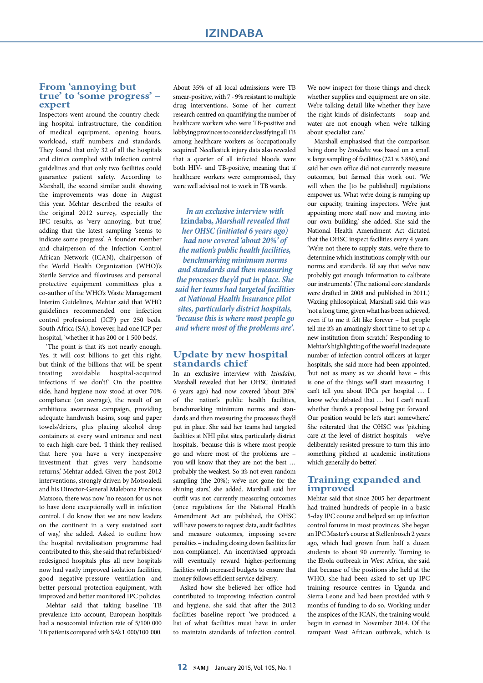#### **From 'annoying but true' to 'some progress' – expert**

Inspectors went around the country checking hospital infrastructure, the condition of medical equipment, opening hours, workload, staff numbers and standards. They found that only 32 of all the hospitals and clinics complied with infection control guidelines and that only two facilities could guarantee patient safety. According to Marshall, the second similar audit showing the improvements was done in August this year. Mehtar described the results of the original 2012 survey, especially the IPC results, as 'very annoying, but true', adding that the latest sampling 'seems to indicate some progress'. A founder member and chairperson of the Infection Control African Network (ICAN), chairperson of the World Health Organization (WHO)'s Sterile Service and filoviruses and personal protective equipment committees plus a co-author of the WHO's Waste Management Interim Guidelines, Mehtar said that WHO guidelines recommended one infection control professional (ICP) per 250 beds. South Africa (SA), however, had one ICP per hospital, 'whether it has 200 or 1 500 beds'.

'The point is that it's not nearly enough. Yes, it will cost billions to get this right, but think of the billions that will be spent treating avoidable hospital-acquired infections if we don't!' On the positive side, hand hygiene now stood at over 70% compliance (on average), the result of an ambitious awareness campaign, providing adequate handwash basins, soap and paper towels/driers, plus placing alcohol drop containers at every ward entrance and next to each high-care bed. 'I think they realised that here you have a very inexpensive investment that gives very handsome returns,' Mehtar added. Given the post-2012 interventions, strongly driven by Motsoaledi and his Director-General Malebona Precious Matsoso, there was now 'no reason for us not to have done exceptionally well in infection control. I do know that we are now leaders on the continent in a very sustained sort of way,' she added. Asked to outline how the hospital revitalisation programme had contributed to this, she said that refurbished/ redesigned hospitals plus all new hospitals now had vastly improved isolation facilities, good negative-pressure ventilation and better personal protection equipment, with improved and better monitored IPC policies.

Mehtar said that taking baseline TB prevalence into account, European hospitals had a nosocomial infection rate of 5/100 000 TB patients compared with SA's 1 000/100 000.

About 35% of all local admissions were TB smear-positive, with 7 - 9% resistant to multiple drug interventions. Some of her current research centred on quantifying the number of healthcare workers who were TB-positive and lobbying provinces to consider classifying all TB among healthcare workers as 'occupationally acquired'. Needlestick injury data also revealed that a quarter of all infected bloods were both HIV- and TB-positive, meaning that if healthcare workers were compromised, they were well advised not to work in TB wards.

*In an exclusive interview with*  **Izindaba***, Marshall revealed that her OHSC (initiated 6 years ago) had now covered 'about 20%' of the nation's public health facilities, benchmarking minimum norms and standards and then measuring the processes they'd put in place. She said her teams had targeted facilities at National Health Insurance pilot sites, particularly district hospitals, 'because this is where most people go and where most of the problems are'.*

#### **Update by new hospital standards chief**

In an exclusive interview with *Izindaba*, Marshall revealed that her OHSC (initiated 6 years ago) had now covered 'about 20%' of the nation's public health facilities, benchmarking minimum norms and standards and then measuring the processes they'd put in place. She said her teams had targeted facilities at NHI pilot sites, particularly district hospitals, 'because this is where most people go and where most of the problems are – you will know that they are not the best … probably the weakest. So it's not even random sampling (the 20%); we've not gone for the shining stars,' she added. Marshall said her outfit was not currently measuring outcomes (once regulations for the National Health Amendment Act are published, the OHSC will have powers to request data, audit facilities and measure outcomes, imposing severe penalties – including closing down facilities for non-compliance). An incentivised approach will eventually reward higher-performing facilities with increased budgets to ensure that money follows efficient service delivery.

Asked how she believed her office had contributed to improving infection control and hygiene, she said that after the 2012 facilities baseline report 'we produced a list of what facilities must have in order to maintain standards of infection control.

We now inspect for those things and check whether supplies and equipment are on site. We're talking detail like whether they have the right kinds of disinfectants – soap and water are not enough when we're talking about specialist care.'

Marshall emphasised that the comparison being done by *Izindaba* was based on a small v. large sampling of facilities (221 v. 3 880), and said her own office did not currently measure outcomes, but farmed this work out. 'We will when the [to be published] regulations empower us. What we're doing is ramping up our capacity, training inspectors. We're just appointing more staff now and moving into our own building,' she added. She said the National Health Amendment Act dictated that the OHSC inspect facilities every 4 years. 'We're not there to supply stats, we're there to determine which institutions comply with our norms and standards. I'd say that we've now probably got enough information to calibrate our instruments.' (The national core standards were drafted in 2008 and published in 2011.) Waxing philosophical, Marshall said this was 'not a long time, given what has been achieved, even if to me it felt like forever – but people tell me it's an amazingly short time to set up a new institution from scratch.' Responding to Mehtar's highlighting of the woeful inadequate number of infection control officers at larger hospitals, she said more had been appointed, 'but not as many as we should have – this is one of the things we'll start measuring. I can't tell you about IPCs per hospital … I know we've debated that … but I can't recall whether there's a proposal being put forward. Our position would be let's start somewhere.' She reiterated that the OHSC was 'pitching care at the level of district hospitals – we've deliberately resisted pressure to turn this into something pitched at academic institutions which generally do better.'

## **Training expanded and improved**

Mehtar said that since 2005 her department had trained hundreds of people in a basic 5-day IPC course and helped set up infection control forums in most provinces. She began an IPC Master's course at Stellenbosch 2 years ago, which had grown from half a dozen students to about 90 currently. Turning to the Ebola outbreak in West Africa, she said that because of the positions she held at the WHO, she had been asked to set up IPC training resource centres in Uganda and Sierra Leone and had been provided with 9 months of funding to do so. Working under the auspices of the ICAN, the training would begin in earnest in November 2014. Of the rampant West African outbreak, which is